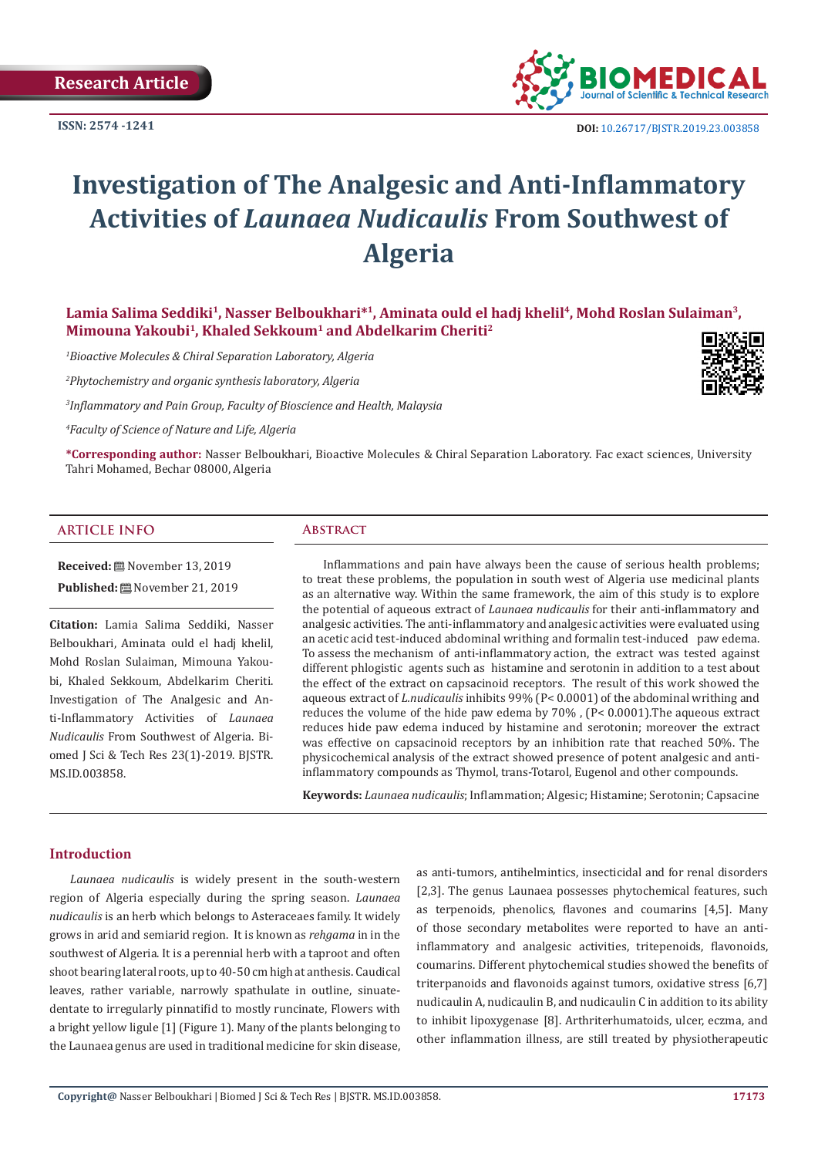**ISSN: 2574 -1241**



# **Investigation of The Analgesic and Anti-Inflammatory Activities of** *Launaea Nudicaulis* **From Southwest of Algeria**

**Lamia Salima Seddiki<sup>1</sup>, Nasser Belboukhari\*<sup>1</sup>, Aminata ould el hadj khelil<sup>4</sup>, Mohd Roslan Sulaiman3, Mimouna Yakoubi<sup>1</sup>, Khaled Sekkoum<sup>1</sup> and Abdelkarim Cheriti<sup>2</sup>**

*1 Bioactive Molecules & Chiral Separation Laboratory, Algeria*

*2 Phytochemistry and organic synthesis laboratory, Algeria*

*3 Inflammatory and Pain Group, Faculty of Bioscience and Health, Malaysia*

*4 Faculty of Science of Nature and Life, Algeria*

**\*Corresponding author:** Nasser Belboukhari, Bioactive Molecules & Chiral Separation Laboratory. Fac exact sciences, University Tahri Mohamed, Bechar 08000, Algeria

# **ARTICLE INFO Abstract**

**Received:** November 13, 2019 Published: **■**November 21, 2019

**Citation:** Lamia Salima Seddiki, Nasser Belboukhari, Aminata ould el hadj khelil, Mohd Roslan Sulaiman, Mimouna Yakoubi, Khaled Sekkoum, Abdelkarim Cheriti. Investigation of The Analgesic and Anti-Inflammatory Activities of *Launaea Nudicaulis* From Southwest of Algeria. Biomed J Sci & Tech Res 23(1)-2019. BJSTR. MS.ID.003858.

Inflammations and pain have always been the cause of serious health problems; to treat these problems, the population in south west of Algeria use medicinal plants as an alternative way. Within the same framework, the aim of this study is to explore the potential of aqueous extract of *Launaea nudicaulis* for their anti-inflammatory and analgesic activities. The anti-inflammatory and analgesic activities were evaluated using an acetic acid test-induced abdominal writhing and formalin test-induced paw edema. To assess the mechanism of anti-inflammatory action, the extract was tested against different phlogistic agents such as histamine and serotonin in addition to a test about the effect of the extract on capsacinoid receptors. The result of this work showed the aqueous extract of *L.nudicaulis* inhibits 99% (P< 0.0001) of the abdominal writhing and reduces the volume of the hide paw edema by 70% , (P< 0.0001).The aqueous extract reduces hide paw edema induced by histamine and serotonin; moreover the extract was effective on capsacinoid receptors by an inhibition rate that reached 50%. The physicochemical analysis of the extract showed presence of potent analgesic and antiinflammatory compounds as Thymol, trans-Totarol, Eugenol and other compounds.

**Keywords:** *Launaea nudicaulis*; Inflammation; Algesic; Histamine; Serotonin; Capsacine

# **Introduction**

*Launaea nudicaulis* is widely present in the south-western region of Algeria especially during the spring season. *Launaea nudicaulis* is an herb which belongs to Asteraceaes family. It widely grows in arid and semiarid region. It is known as *rehgama* in in the southwest of Algeria. It is a perennial herb with a taproot and often shoot bearing lateral roots, up to 40-50 cm high at anthesis. Caudical leaves, rather variable, narrowly spathulate in outline, sinuatedentate to irregularly pinnatifid to mostly runcinate, Flowers with a bright yellow ligule [1] (Figure 1). Many of the plants belonging to the Launaea genus are used in traditional medicine for skin disease,

as anti-tumors, antihelmintics, insecticidal and for renal disorders [2,3]. The genus Launaea possesses phytochemical features, such as terpenoids, phenolics, flavones and coumarins [4,5]. Many of those secondary metabolites were reported to have an antiinflammatory and analgesic activities, tritepenoids, flavonoids, coumarins. Different phytochemical studies showed the benefits of triterpanoids and flavonoids against tumors, oxidative stress [6,7] nudicaulin A, nudicaulin B, and nudicaulin C in addition to its ability to inhibit lipoxygenase [8]. Arthriterhumatoids, ulcer, eczma, and other inflammation illness, are still treated by physiotherapeutic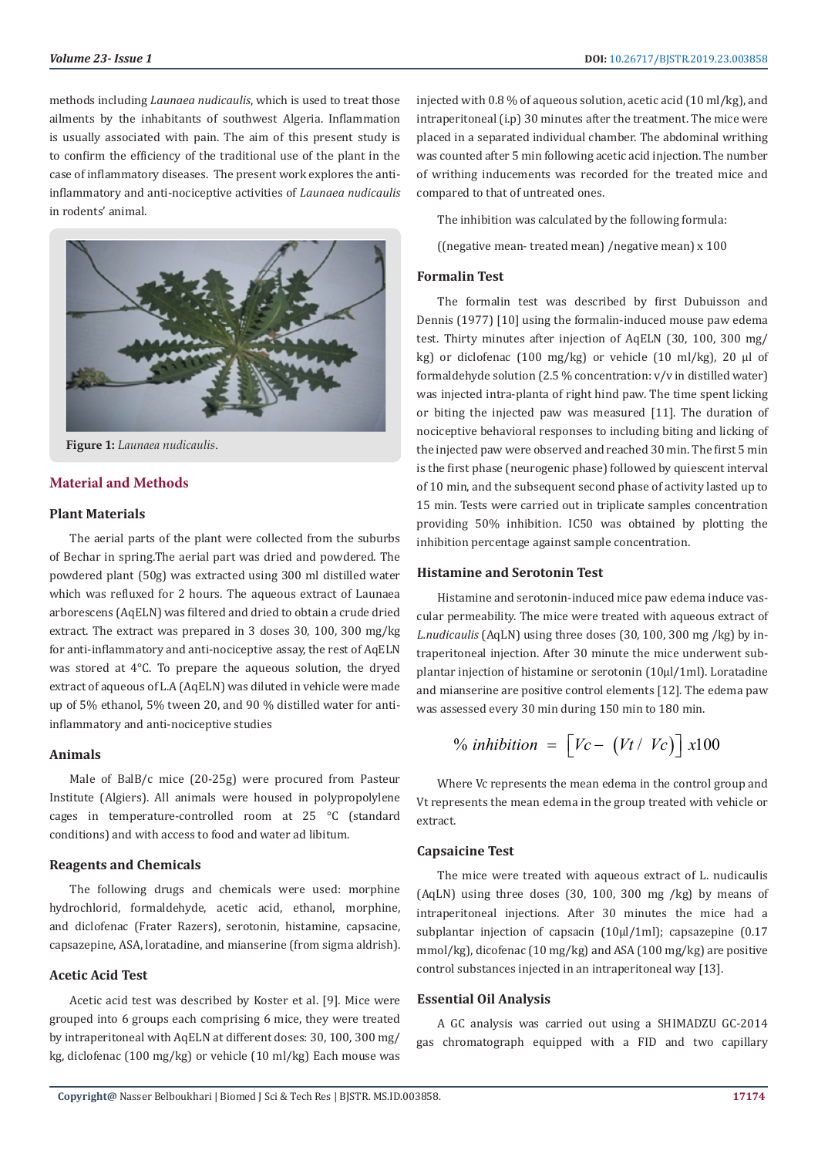methods including *Launaea nudicaulis*, which is used to treat those ailments by the inhabitants of southwest Algeria. Inflammation is usually associated with pain. The aim of this present study is to confirm the efficiency of the traditional use of the plant in the case of inflammatory diseases. The present work explores the antiinflammatory and anti-nociceptive activities of *Launaea nudicaulis* in rodents' animal.



**Figure 1:** *Launaea nudicaulis*.

# **Material and Methods**

#### **Plant Materials**

The aerial parts of the plant were collected from the suburbs of Bechar in spring.The aerial part was dried and powdered. The powdered plant (50g) was extracted using 300 ml distilled water which was refluxed for 2 hours. The aqueous extract of Launaea arborescens (AqELN) was filtered and dried to obtain a crude dried extract. The extract was prepared in 3 doses 30, 100, 300 mg/kg for anti-inflammatory and anti-nociceptive assay, the rest of AqELN was stored at 4°C. To prepare the aqueous solution, the dryed extract of aqueous of L.A (AqELN) was diluted in vehicle were made up of 5% ethanol, 5% tween 20, and 90 % distilled water for antiinflammatory and anti-nociceptive studies

#### **Animals**

Male of BalB/c mice (20-25g) were procured from Pasteur Institute (Algiers). All animals were housed in polypropolylene cages in temperature-controlled room at 25 °C (standard conditions) and with access to food and water ad libitum.

# **Reagents and Chemicals**

The following drugs and chemicals were used: morphine hydrochlorid, formaldehyde, acetic acid, ethanol, morphine, and diclofenac (Frater Razers), serotonin, histamine, capsacine, capsazepine, ASA, loratadine, and mianserine (from sigma aldrish).

### **Acetic Acid Test**

Acetic acid test was described by Koster et al. [9]. Mice were grouped into 6 groups each comprising 6 mice, they were treated by intraperitoneal with AqELN at different doses: 30, 100, 300 mg/ kg, diclofenac (100 mg/kg) or vehicle (10 ml/kg) Each mouse was injected with 0.8 % of aqueous solution, acetic acid (10 ml/kg), and intraperitoneal (i.p) 30 minutes after the treatment. The mice were placed in a separated individual chamber. The abdominal writhing was counted after 5 min following acetic acid injection. The number of writhing inducements was recorded for the treated mice and compared to that of untreated ones.

The inhibition was calculated by the following formula:

((negative mean- treated mean) /negative mean) x 100

# **Formalin Test**

The formalin test was described by first Dubuisson and Dennis (1977) [10] using the formalin-induced mouse paw edema test. Thirty minutes after injection of AqELN (30, 100, 300 mg/ kg) or diclofenac (100 mg/kg) or vehicle (10 ml/kg), 20 µl of formaldehyde solution (2.5 % concentration: v/v in distilled water) was injected intra-planta of right hind paw. The time spent licking or biting the injected paw was measured [11]. The duration of nociceptive behavioral responses to including biting and licking of the injected paw were observed and reached 30 min. The first 5 min is the first phase (neurogenic phase) followed by quiescent interval of 10 min, and the subsequent second phase of activity lasted up to 15 min. Tests were carried out in triplicate samples concentration providing 50% inhibition. IC50 was obtained by plotting the inhibition percentage against sample concentration.

### **Histamine and Serotonin Test**

Histamine and serotonin-induced mice paw edema induce vascular permeability. The mice were treated with aqueous extract of *L.nudicaulis* (AqLN) using three doses (30, 100, 300 mg /kg) by intraperitoneal injection. After 30 minute the mice underwent subplantar injection of histamine or serotonin (10µl/1ml). Loratadine and mianserine are positive control elements [12]. The edema paw was assessed every 30 min during 150 min to 180 min.

$$
\% inhibition = \left[ Vc - \left( Vt / Vc \right) \right] x100
$$

Where Vc represents the mean edema in the control group and Vt represents the mean edema in the group treated with vehicle or extract.

#### **Capsaicine Test**

The mice were treated with aqueous extract of L. nudicaulis (AqLN) using three doses (30, 100, 300 mg /kg) by means of intraperitoneal injections. After 30 minutes the mice had a subplantar injection of capsacin (10µl/1ml); capsazepine (0.17 mmol/kg), dicofenac (10 mg/kg) and ASA (100 mg/kg) are positive control substances injected in an intraperitoneal way [13].

# **Essential Oil Analysis**

A GC analysis was carried out using a SHIMADZU GC-2014 gas chromatograph equipped with a FID and two capillary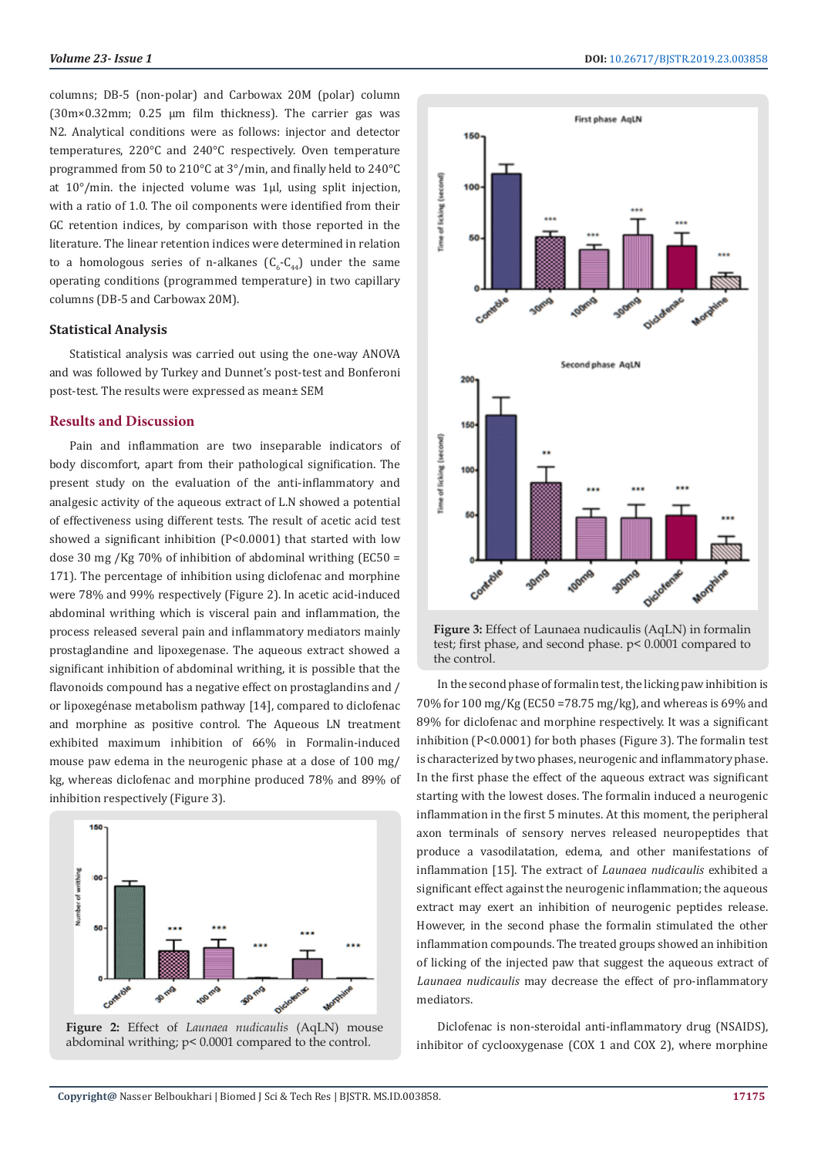columns; DB-5 (non-polar) and Carbowax 20M (polar) column (30m×0.32mm; 0.25 µm film thickness). The carrier gas was N2. Analytical conditions were as follows: injector and detector temperatures, 220°C and 240°C respectively. Oven temperature programmed from 50 to 210°C at 3°/min, and finally held to 240°C at 10°/min. the injected volume was 1µl, using split injection, with a ratio of 1.0. The oil components were identified from their GC retention indices, by comparison with those reported in the literature. The linear retention indices were determined in relation to a homologous series of n-alkanes  $(C_6$ - $C_{44}$ ) under the same operating conditions (programmed temperature) in two capillary columns (DB-5 and Carbowax 20M).

# **Statistical Analysis**

Statistical analysis was carried out using the one-way ANOVA and was followed by Turkey and Dunnet's post-test and Bonferoni post-test. The results were expressed as mean± SEM

# **Results and Discussion**

Pain and inflammation are two inseparable indicators of body discomfort, apart from their pathological signification. The present study on the evaluation of the anti-inflammatory and analgesic activity of the aqueous extract of L.N showed a potential of effectiveness using different tests. The result of acetic acid test showed a significant inhibition (P<0.0001) that started with low dose 30 mg /Kg 70% of inhibition of abdominal writhing (EC50 = 171). The percentage of inhibition using diclofenac and morphine were 78% and 99% respectively (Figure 2). In acetic acid-induced abdominal writhing which is visceral pain and inflammation, the process released several pain and inflammatory mediators mainly prostaglandine and lipoxegenase. The aqueous extract showed a significant inhibition of abdominal writhing, it is possible that the flavonoids compound has a negative effect on prostaglandins and / or lipoxegénase metabolism pathway [14], compared to diclofenac and morphine as positive control. The Aqueous LN treatment exhibited maximum inhibition of 66% in Formalin-induced mouse paw edema in the neurogenic phase at a dose of 100 mg/ kg, whereas diclofenac and morphine produced 78% and 89% of inhibition respectively (Figure 3).







**Figure 3:** Effect of Launaea nudicaulis (AqLN) in formalin test; first phase, and second phase. p< 0.0001 compared to the control.

In the second phase of formalin test, the licking paw inhibition is 70% for 100 mg/Kg (EC50 =78.75 mg/kg), and whereas is 69% and 89% for diclofenac and morphine respectively. It was a significant inhibition (P<0.0001) for both phases (Figure 3). The formalin test is characterized by two phases, neurogenic and inflammatory phase. In the first phase the effect of the aqueous extract was significant starting with the lowest doses. The formalin induced a neurogenic inflammation in the first 5 minutes. At this moment, the peripheral axon terminals of sensory nerves released neuropeptides that produce a vasodilatation, edema, and other manifestations of inflammation [15]. The extract of *Launaea nudicaulis* exhibited a significant effect against the neurogenic inflammation; the aqueous extract may exert an inhibition of neurogenic peptides release. However, in the second phase the formalin stimulated the other inflammation compounds. The treated groups showed an inhibition of licking of the injected paw that suggest the aqueous extract of *Launaea nudicaulis* may decrease the effect of pro-inflammatory mediators.

Diclofenac is non-steroidal anti-inflammatory drug (NSAIDS), inhibitor of cyclooxygenase (COX 1 and COX 2), where morphine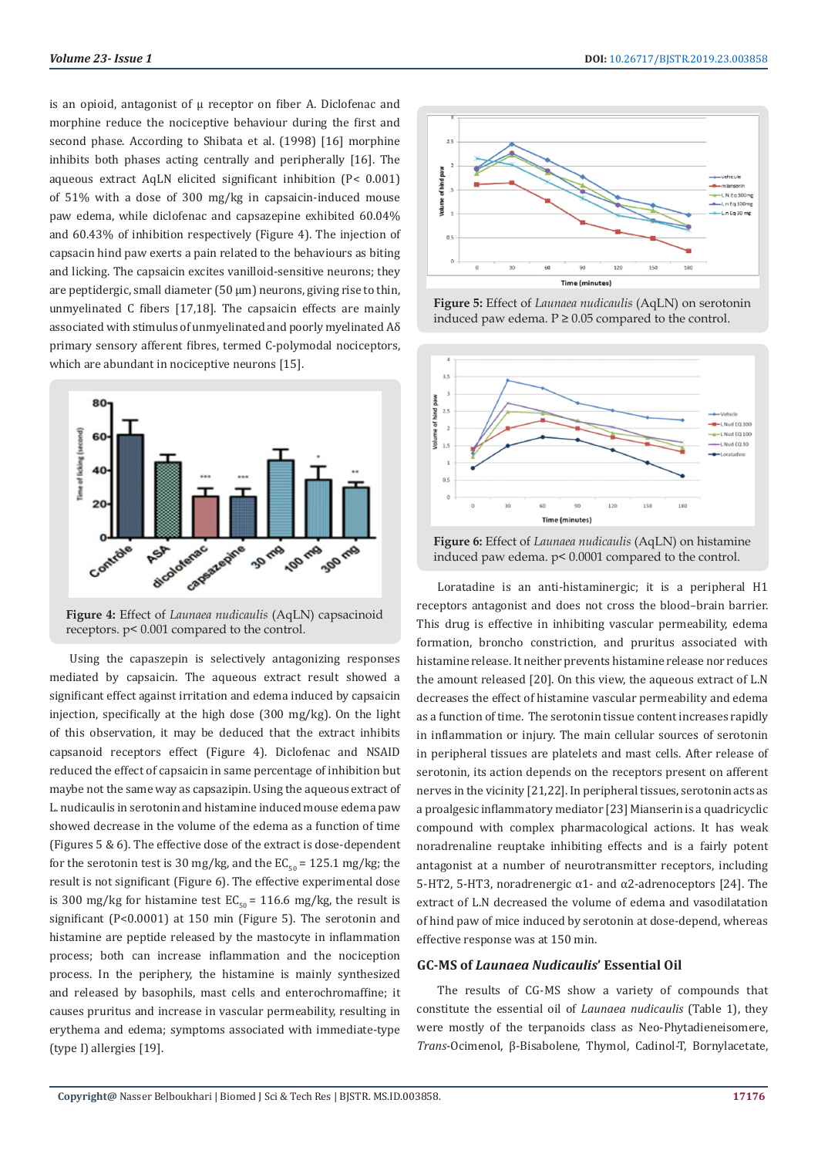is an opioid, antagonist of u receptor on fiber A. Diclofenac and morphine reduce the nociceptive behaviour during the first and second phase. According to Shibata et al. (1998) [16] morphine inhibits both phases acting centrally and peripherally [16]. The aqueous extract AqLN elicited significant inhibition (P< 0.001) of 51% with a dose of 300 mg/kg in capsaicin-induced mouse paw edema, while diclofenac and capsazepine exhibited 60.04% and 60.43% of inhibition respectively (Figure 4). The injection of capsacin hind paw exerts a pain related to the behaviours as biting and licking. The capsaicin excites vanilloid-sensitive neurons; they are peptidergic, small diameter (50 µm) neurons, giving rise to thin, unmyelinated C fibers [17,18]. The capsaicin effects are mainly associated with stimulus of unmyelinated and poorly myelinated Aδ primary sensory afferent fibres, termed C-polymodal nociceptors, which are abundant in nociceptive neurons [15].



**Figure 4:** Effect of *Launaea nudicaulis* (AqLN) capsacinoid receptors. p< 0.001 compared to the control.

Using the capaszepin is selectively antagonizing responses mediated by capsaicin. The aqueous extract result showed a significant effect against irritation and edema induced by capsaicin injection, specifically at the high dose (300 mg/kg). On the light of this observation, it may be deduced that the extract inhibits capsanoid receptors effect (Figure 4). Diclofenac and NSAID reduced the effect of capsaicin in same percentage of inhibition but maybe not the same way as capsazipin. Using the aqueous extract of L. nudicaulis in serotonin and histamine induced mouse edema paw showed decrease in the volume of the edema as a function of time (Figures 5 & 6). The effective dose of the extract is dose-dependent for the serotonin test is 30 mg/kg, and the  $EC_{50} = 125.1$  mg/kg; the result is not significant (Figure 6). The effective experimental dose is 300 mg/kg for histamine test  $EC_{50} = 116.6$  mg/kg, the result is significant (P<0.0001) at 150 min (Figure 5). The serotonin and histamine are peptide released by the mastocyte in inflammation process; both can increase inflammation and the nociception process. In the periphery, the histamine is mainly synthesized and released by basophils, mast cells and enterochromaffine; it causes pruritus and increase in vascular permeability, resulting in erythema and edema; symptoms associated with immediate-type (type I) allergies [19].



**Figure 5:** Effect of *Launaea nudicaulis* (AqLN) on serotonin induced paw edema.  $P \ge 0.05$  compared to the control.



**Figure 6:** Effect of *Launaea nudicaulis* (AqLN) on histamine induced paw edema. p< 0.0001 compared to the control.

Loratadine is an anti-histaminergic; it is a peripheral H1 receptors antagonist and does not cross the blood–brain barrier. This drug is effective in inhibiting vascular permeability, edema formation, broncho constriction, and pruritus associated with histamine release. It neither prevents histamine release nor reduces the amount released [20]. On this view, the aqueous extract of L.N decreases the effect of histamine vascular permeability and edema as a function of time. The serotonin tissue content increases rapidly in inflammation or injury. The main cellular sources of serotonin in peripheral tissues are platelets and mast cells. After release of serotonin, its action depends on the receptors present on afferent nerves in the vicinity [21,22]. In peripheral tissues, serotonin acts as a proalgesic inflammatory mediator [23] Mianserin is a quadricyclic compound with complex pharmacological actions. It has weak noradrenaline reuptake inhibiting effects and is a fairly potent antagonist at a number of neurotransmitter receptors, including 5-HT2, 5-HT3, noradrenergic α1- and α2-adrenoceptors [24]. The extract of L.N decreased the volume of edema and vasodilatation of hind paw of mice induced by serotonin at dose-depend, whereas effective response was at 150 min.

#### **GC-MS of** *Launaea Nudicaulis***' Essential Oil**

The results of CG-MS show a variety of compounds that constitute the essential oil of *Launaea nudicaulis* (Table 1), they were mostly of the terpanoids class as Neo-Phytadieneisomere, *Trans*-Ocimenol, β-Bisabolene, Thymol, Cadinol-T, Bornylacetate,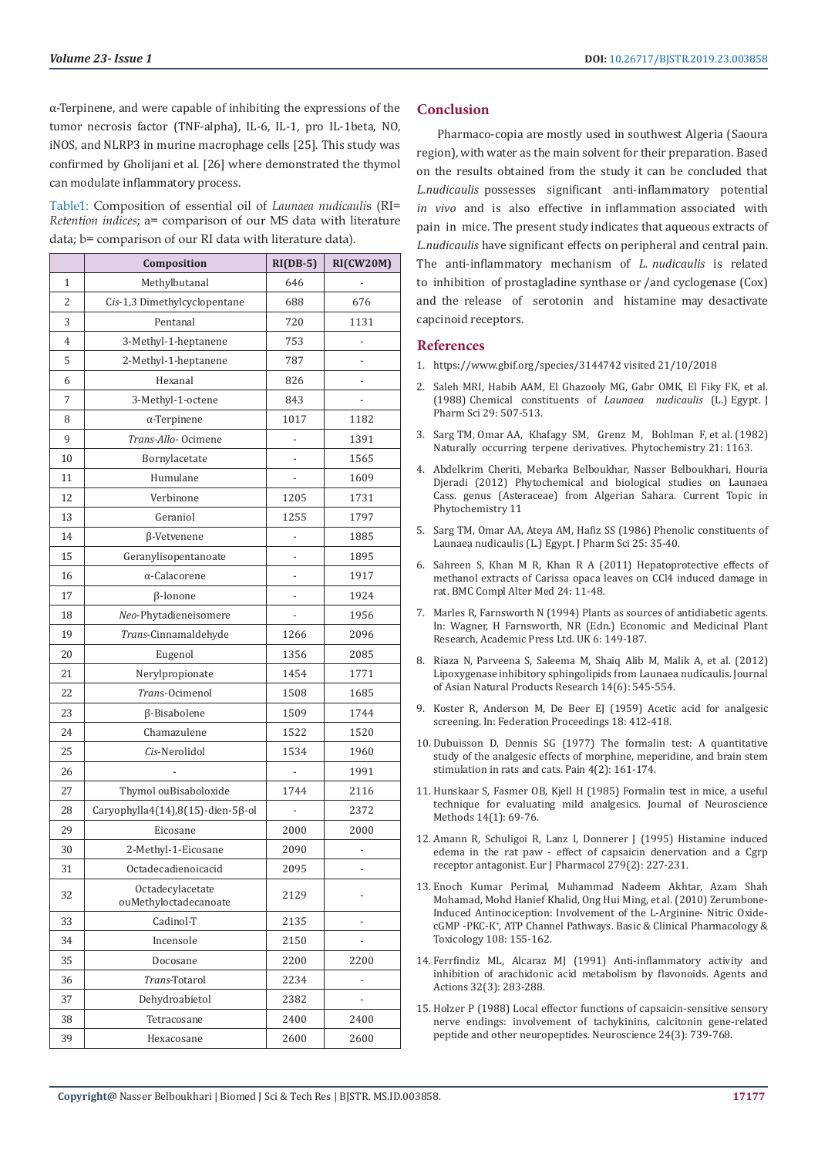α-Terpinene, and were capable of inhibiting the expressions of the tumor necrosis factor (TNF-alpha), IL-6, IL-1, pro IL-1beta, NO, iNOS, and NLRP3 in murine macrophage cells [25]. This study was confirmed by Gholijani et al. [26] where demonstrated the thymol can modulate inflammatory process.

Table1: Composition of essential oil of *Launaea nudicauli*s (RI= *Retention indices*; a= comparison of our MS data with literature data; b= comparison of our RI data with literature data).

|    | Composition                               | $RI(DB-5)$               | RI(CW20M)      |
|----|-------------------------------------------|--------------------------|----------------|
| 1  | Methylbutanal                             | 646                      |                |
| 2  | Cis-1,3 Dimethylcyclopentane              | 688                      | 676            |
| 3  | Pentanal                                  | 720                      | 1131           |
| 4  | 3-Methyl-1-heptanene                      | 753                      | $\overline{a}$ |
| 5  | 2-Methyl-1-heptanene                      | 787                      |                |
| 6  | Hexanal                                   | 826                      |                |
| 7  | 3-Methyl-1-octene                         | 843                      |                |
| 8  | $\alpha$ -Terpinene                       | 1017                     | 1182           |
| 9  | Trans-Allo-Ocimene                        | -                        | 1391           |
| 10 | Bornylacetate                             |                          | 1565           |
| 11 | Humulane                                  |                          | 1609           |
| 12 | Verbinone                                 | 1205                     | 1731           |
| 13 | Geraniol                                  | 1255                     | 1797           |
| 14 | β-Vetvenene                               | -                        | 1885           |
| 15 | Geranylisopentanoate                      |                          | 1895           |
| 16 | α-Calacorene                              | $\overline{a}$           | 1917           |
| 17 | β-Ionone                                  | -                        | 1924           |
| 18 | Neo-Phytadieneisomere                     |                          | 1956           |
| 19 | Trans-Cinnamaldehyde                      | 1266                     | 2096           |
| 20 | Eugenol                                   | 1356                     | 2085           |
| 21 | Nerylpropionate                           | 1454                     | 1771           |
| 22 | Trans-Ocimenol                            | 1508                     | 1685           |
| 23 | β-Bisabolene                              | 1509                     | 1744           |
| 24 | Chamazulene                               | 1522                     | 1520           |
| 25 | Cis-Nerolidol                             | 1534                     | 1960           |
| 26 |                                           |                          | 1991           |
| 27 | Thymol ouBisaboloxide                     | 1744                     | 2116           |
| 28 | Caryophylla4(14),8(15)-dien-5ß-ol         | $\overline{\phantom{m}}$ | 2372           |
| 29 | Eicosane                                  | 2000                     | 2000           |
| 30 | 2-Methyl-1-Eicosane                       | 2090                     | -              |
| 31 | Octadecadienoicacid                       | 2095                     |                |
| 32 | Octadecylacetate<br>ouMethyloctadecanoate | 2129                     |                |
| 33 | Cadinol-T                                 | 2135                     |                |
| 34 | Incensole                                 | 2150                     |                |
| 35 | Docosane                                  | 2200                     | 2200           |
| 36 | Trans-Totarol                             | 2234                     |                |
| 37 | Dehydroabietol                            | 2382                     |                |
| 38 | Tetracosane                               | 2400                     | 2400           |
| 39 | Hexacosane                                | 2600                     | 2600           |

# **Conclusion**

Pharmaco-copia are mostly used in southwest Algeria (Saoura region), with water as the main solvent for their preparation. Based on the results obtained from the study it can be concluded that *L.nudicaulis* possesses significant anti-inflammatory potential *in vivo* and is also effective in inflammation associated with pain in mice. The present study indicates that aqueous extracts of *L.nudicaulis* have significant effects on peripheral and central pain. The anti-inflammatory mechanism of *L. nudicaulis* is related to inhibition of prostagladine synthase or /and cyclogenase (Cox) and the release of serotonin and histamine may desactivate capcinoid receptors.

### **References**

- 1. https://www.gbif.org/species/3144742 visited 21/10/2018
- 2. Saleh MRI, Habib AAM, El Ghazooly MG, Gabr OMK, El Fiky FK, et al. (1988) Chemical constituents of *Launaea nudicaulis* (L.) Egypt. J Pharm Sci 29: 507-513.
- 3. Sarg TM, Omar AA, Khafagy SM, Grenz M, Bohlman F, et al. (1982) Naturally occurring terpene derivatives. Phytochemistry 21: 1163.
- 4. Abdelkrim Cheriti, Mebarka Belboukhar, Nasser Belboukhari, Houria Djeradi (2012) Phytochemical and biological studies on Launaea Cass. genus (Asteraceae) from Algerian Sahara. Current Topic in Phytochemistry 11
- 5. Sarg TM, Omar AA, Ateya AM, Hafiz SS (1986) Phenolic constituents of Launaea nudicaulis (L.) Egypt. J Pharm Sci 25: 35-40.
- 6. Sahreen S, Khan M R, Khan R A (2011) Hepatoprotective effects of methanol extracts of Carissa opaca leaves on CCl4 induced damage in rat. BMC Compl Alter Med 24: 11-48.
- 7. Marles R, Farnsworth N (1994) Plants as sources of antidiabetic agents. In: Wagner, H Farnsworth, NR (Edn.) Economic and Medicinal Plant Research, Academic Press Ltd. UK 6: 149-187.
- 8. Riaza N, Parveena S, Saleema M, Shaiq Alib M, Malik A, et al. (2012) Lipoxygenase inhibitory sphingolipids from Launaea nudicaulis. Journal of Asian Natural Products Research 14(6): 545-554.
- 9. Koster R, Anderson M, De Beer EJ (1959) Acetic acid for analgesic screening. In: Federation Proceedings 18: 412-418.
- 10. Dubuisson D, Dennis SG (1977) The formalin test: A quantitative study of the analgesic effects of morphine, meperidine, and brain stem stimulation in rats and cats. Pain 4(2): 161-174.
- 11. Hunskaar S, Fasmer OB, Kjell H (1985) Formalin test in mice, a useful technique for evaluating mild analgesics. Journal of Neuroscience Methods 14(1): 69-76.
- 12. Amann R, Schuligoi R, Lanz I, Donnerer J (1995) Histamine induced edema in the rat paw - effect of capsaicin denervation and a Cgrp receptor antagonist. Eur J Pharmacol 279(2): 227-231.
- 13. Enoch Kumar Perimal, Muhammad Nadeem Akhtar, Azam Shah Mohamad, Mohd Hanief Khalid, Ong Hui Ming, et al. (2010) Zerumbone-Induced Antinociception: Involvement of the L-Arginine- Nitric OxidecGMP -PKC-K<sup>+</sup> , ATP Channel Pathways. Basic & Clinical Pharmacology & Toxicology 108: 155-162.
- 14. Ferrfindiz ML, Alcaraz MJ (1991) Anti-inflammatory activity and inhibition of arachidonic acid metabolism by flavonoids. Agents and Actions 32(3): 283-288.
- 15. Holzer P (1988) Local effector functions of capsaicin-sensitive sensory nerve endings: involvement of tachykinins, calcitonin gene-related peptide and other neuropeptides. Neuroscience 24(3): 739-768.